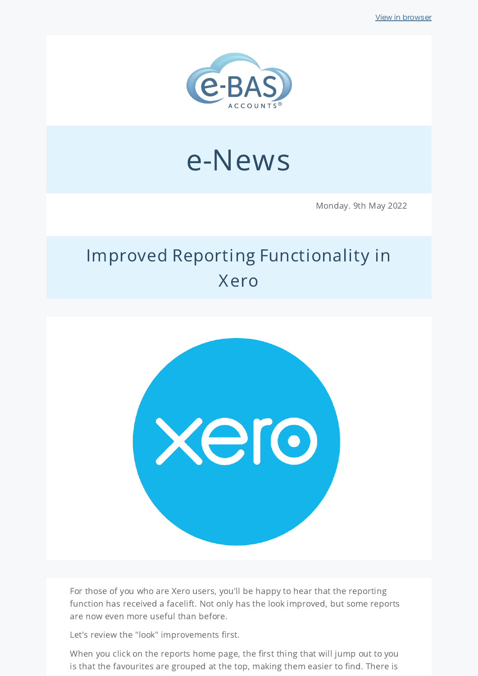

# e-News

Monday. 9th May 2022

# Improved Reporting Functionality in Xero



For those of you who are Xero users, you'll be happy to hear that the reporting function has received a facelift. Not only has the look improved, but some reports are now even more useful than before.

Let's review the "look" improvements first.

When you click on the reports home page, the first thing that will jump out to you is that the favourites are grouped at the top, making them easier to find. There is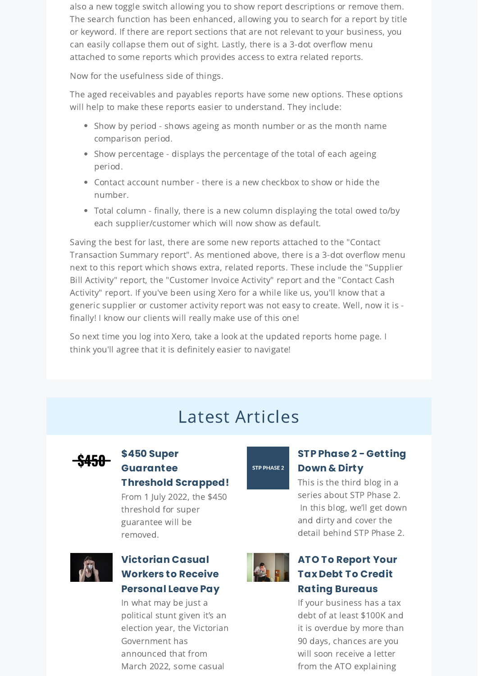also a new toggle switch allowing you to show report descriptions or remove them. The search function has been enhanced, allowing you to search for a report by title or keyword. If there are report sections that are not relevant to your business, you can easily collapse them out of sight. Lastly, there is a 3-dot overflow menu attached to some reports which provides access to extra related reports.

Now for the usefulness side of things.

The aged receivables and payables reports have some new options. These options will help to make these reports easier to understand. They include:

- Show by period shows ageing as month number or as the month name comparison period.
- Show percentage displays the percentage of the total of each ageing period.
- Contact account number there is a new checkbox to show or hide the number.
- Total column finally, there is a new column displaying the total owed to/by each supplier/customer which will now show as default.

Saving the best for last, there are some new reports attached to the "Contact Transaction Summary report". As mentioned above, there is a 3-dot overflow menu next to this report which shows extra, related reports. These include the "Supplier Bill Activity" report, the "Customer Invoice Activity" report and the "Contact Cash Activity" report. If you've been using Xero for a while like us, you'll know that a generic supplier or customer activity report was not easy to create. Well, now it is finally! I know our clients will really make use of this one!

So next time you log into Xero, take a look at the updated reports home page. I think you'll agree that it is definitely easier to navigate!

## Latest Articles



#### **\$450 Super [Guarantee](https://www.e-bas.com.au/450-super-guarantee-threshold-scrapped/) Threshold Scrapped!**

From 1 July 2022, the \$450 threshold for super guarantee will be removed.



#### **[Victorian](https://www.e-bas.com.au/victorian-casual-workers-to-receive-personal-leave-pay/) Casual Workers to Receive Personal Leave Pay**

In what may be just a political stunt given it's an election year, the Victorian Government has announced that from March 2022, some casual



#### **ATO To Report Your Tax Debt To Credit Rating [Bureaus](https://bit.ly/3M9ccup)**

If your business has a tax debt of at least \$100K and it is overdue by more than 90 days, chances are you will soon receive a letter from the ATO explaining

### STP PHASE 2

#### **STP Phase 2 - [Getting](https://www.e-bas.com.au/stp-phase-2-getting-down-and-dirty/) Down & Dirty**

This is the third blog in a series about STP Phase 2. In this blog, we'll get down and dirty and cover the detail behind STP Phase 2.